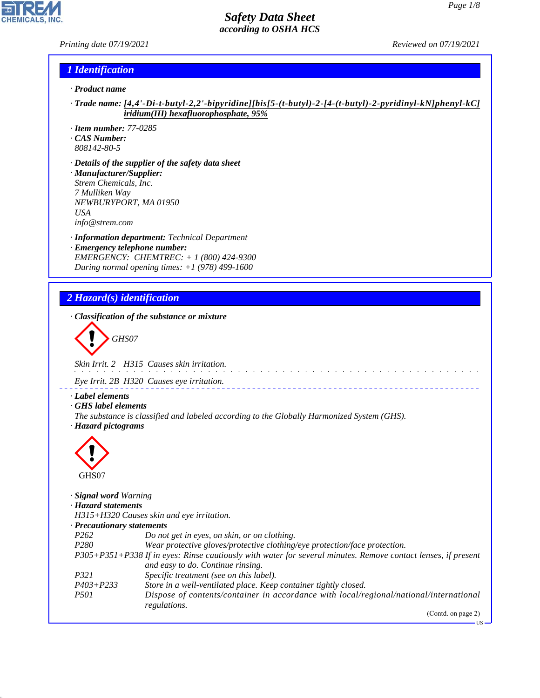US

#### *Safety Data Sheet according to OSHA HCS*

*Printing date 07/19/2021 Reviewed on 07/19/2021*

#### *1 Identification*

- *· Product name*
- *· Trade name: [4,4'-Di-t-butyl-2,2'-bipyridine][bis[5-(t-butyl)-2-[4-(t-butyl)-2-pyridinyl-kN]phenyl-kC] iridium(III) hexafluorophosphate, 95%*
- *· Item number: 77-0285*
- *· CAS Number:*
- *808142-80-5*
- *· Details of the supplier of the safety data sheet · Manufacturer/Supplier: Strem Chemicals, Inc. 7 Mulliken Way NEWBURYPORT, MA 01950 USA*
- *info@strem.com*
- *· Information department: Technical Department · Emergency telephone number: EMERGENCY: CHEMTREC: + 1 (800) 424-9300 During normal opening times: +1 (978) 499-1600*

### *2 Hazard(s) identification*

*· Classification of the substance or mixture*

$$
\left\langle \begin{array}{c}\n\end{array}\right\rangle
$$
 GHSO7

*Skin Irrit. 2 H315 Causes skin irritation.*

*Eye Irrit. 2B H320 Causes eye irritation.*

- *· Label elements*
- *· GHS label elements*
- *The substance is classified and labeled according to the Globally Harmonized System (GHS). · Hazard pictograms*



44.1.1

*· Signal word Warning · Hazard statements H315+H320 Causes skin and eye irritation. · Precautionary statements P262 Do not get in eyes, on skin, or on clothing. P280 Wear protective gloves/protective clothing/eye protection/face protection. P305+P351+P338 If in eyes: Rinse cautiously with water for several minutes. Remove contact lenses, if present and easy to do. Continue rinsing. P321 Specific treatment (see on this label). P403+P233 Store in a well-ventilated place. Keep container tightly closed. P501 Dispose of contents/container in accordance with local/regional/national/international regulations.* (Contd. on page 2)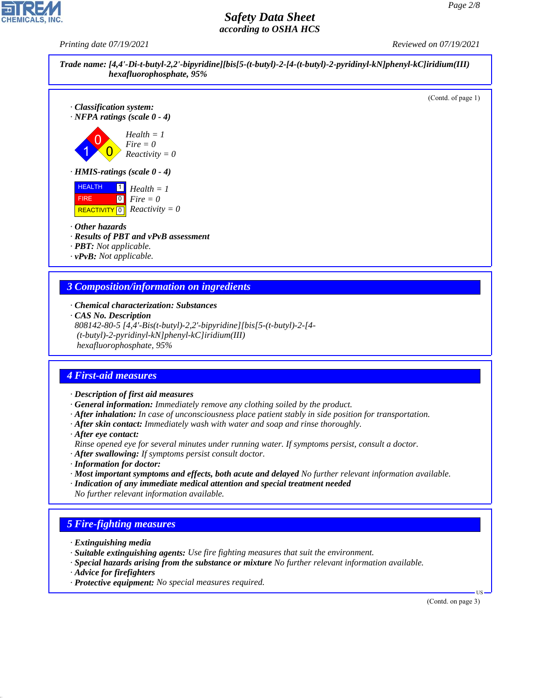*Printing date 07/19/2021 Reviewed on 07/19/2021*



#### *3 Composition/information on ingredients*

- *· Chemical characterization: Substances*
- *· CAS No. Description*

*808142-80-5 [4,4'-Bis(t-butyl)-2,2'-bipyridine][bis[5-(t-butyl)-2-[4- (t-butyl)-2-pyridinyl-kN]phenyl-kC]iridium(III) hexafluorophosphate, 95%*

### *4 First-aid measures*

- *· Description of first aid measures*
- *· General information: Immediately remove any clothing soiled by the product.*
- *· After inhalation: In case of unconsciousness place patient stably in side position for transportation.*
- *· After skin contact: Immediately wash with water and soap and rinse thoroughly.*
- *· After eye contact:*
- *Rinse opened eye for several minutes under running water. If symptoms persist, consult a doctor.*
- *· After swallowing: If symptoms persist consult doctor.*
- *· Information for doctor:*
- *· Most important symptoms and effects, both acute and delayed No further relevant information available.*
- *· Indication of any immediate medical attention and special treatment needed No further relevant information available.*

### *5 Fire-fighting measures*

- *· Extinguishing media*
- *· Suitable extinguishing agents: Use fire fighting measures that suit the environment.*
- *· Special hazards arising from the substance or mixture No further relevant information available.*
- *· Advice for firefighters*

44.1.1

*· Protective equipment: No special measures required.*

(Contd. on page 3)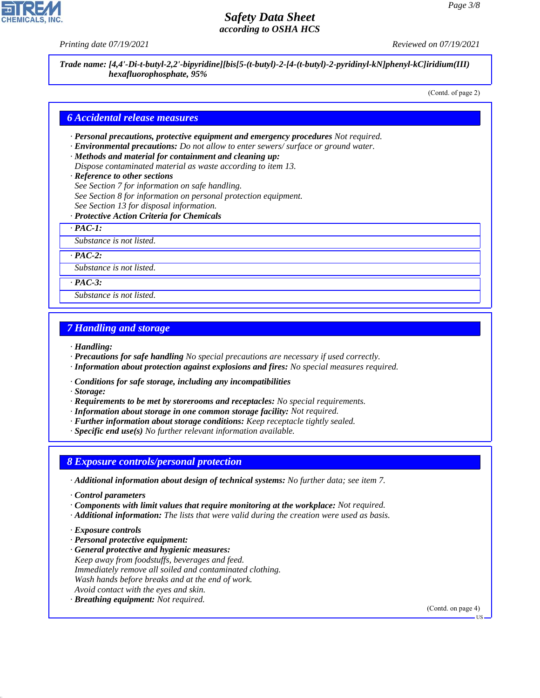*Printing date 07/19/2021 Reviewed on 07/19/2021*

*Trade name: [4,4'-Di-t-butyl-2,2'-bipyridine][bis[5-(t-butyl)-2-[4-(t-butyl)-2-pyridinyl-kN]phenyl-kC]iridium(III) hexafluorophosphate, 95%*

(Contd. of page 2)

#### *6 Accidental release measures*

- *· Personal precautions, protective equipment and emergency procedures Not required.*
- *· Environmental precautions: Do not allow to enter sewers/ surface or ground water.*
- *· Methods and material for containment and cleaning up: Dispose contaminated material as waste according to item 13.*
- 
- *· Reference to other sections*
- *See Section 7 for information on safe handling.*
- *See Section 8 for information on personal protection equipment.*
- *See Section 13 for disposal information.*
- *· Protective Action Criteria for Chemicals*

*· PAC-1:*

*Substance is not listed.*

*· PAC-2:*

*Substance is not listed.*

*· PAC-3:*

*Substance is not listed.*

#### *7 Handling and storage*

*· Handling:*

- *· Precautions for safe handling No special precautions are necessary if used correctly.*
- *· Information about protection against explosions and fires: No special measures required.*
- *· Conditions for safe storage, including any incompatibilities*

*· Storage:*

- *· Requirements to be met by storerooms and receptacles: No special requirements.*
- *· Information about storage in one common storage facility: Not required.*
- *· Further information about storage conditions: Keep receptacle tightly sealed.*
- *· Specific end use(s) No further relevant information available.*

#### *8 Exposure controls/personal protection*

- *· Additional information about design of technical systems: No further data; see item 7.*
- *· Control parameters*
- *· Components with limit values that require monitoring at the workplace: Not required.*
- *· Additional information: The lists that were valid during the creation were used as basis.*
- *· Exposure controls*

44.1.1

- *· Personal protective equipment:*
- *· General protective and hygienic measures: Keep away from foodstuffs, beverages and feed. Immediately remove all soiled and contaminated clothing. Wash hands before breaks and at the end of work. Avoid contact with the eyes and skin.*
- *· Breathing equipment: Not required.*

(Contd. on page 4)

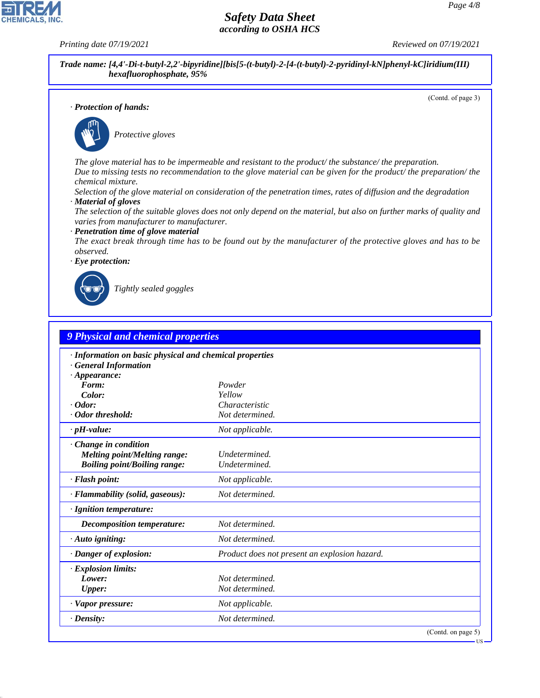**CHEMICALS, INC** 

*Printing date 07/19/2021 Reviewed on 07/19/2021*

*Trade name: [4,4'-Di-t-butyl-2,2'-bipyridine][bis[5-(t-butyl)-2-[4-(t-butyl)-2-pyridinyl-kN]phenyl-kC]iridium(III) hexafluorophosphate, 95%*

(Contd. of page 3)

*· Protection of hands:*



\_S*Protective gloves*

*The glove material has to be impermeable and resistant to the product/ the substance/ the preparation. Due to missing tests no recommendation to the glove material can be given for the product/ the preparation/ the chemical mixture.*

*Selection of the glove material on consideration of the penetration times, rates of diffusion and the degradation · Material of gloves*

*The selection of the suitable gloves does not only depend on the material, but also on further marks of quality and varies from manufacturer to manufacturer.*

#### *· Penetration time of glove material*

*The exact break through time has to be found out by the manufacturer of the protective gloves and has to be observed.*





44.1.1

\_R*Tightly sealed goggles*

| <b>9 Physical and chemical properties</b>                                                                    |                                               |                    |
|--------------------------------------------------------------------------------------------------------------|-----------------------------------------------|--------------------|
| · Information on basic physical and chemical properties<br><b>General Information</b><br>$\cdot$ Appearance: |                                               |                    |
| Form:                                                                                                        | Powder                                        |                    |
| Color:                                                                                                       | Yellow                                        |                    |
| $\cdot$ Odor:                                                                                                | Characteristic                                |                    |
| · Odor threshold:                                                                                            | Not determined.                               |                    |
| $\cdot$ pH-value:                                                                                            | Not applicable.                               |                    |
| Change in condition<br><b>Melting point/Melting range:</b><br><b>Boiling point/Boiling range:</b>            | Undetermined.<br>Undetermined.                |                    |
| · Flash point:                                                                                               | Not applicable.                               |                    |
| · Flammability (solid, gaseous):                                                                             | Not determined.                               |                    |
| · Ignition temperature:                                                                                      |                                               |                    |
| Decomposition temperature:                                                                                   | Not determined.                               |                    |
| $\cdot$ Auto igniting:                                                                                       | Not determined.                               |                    |
| · Danger of explosion:                                                                                       | Product does not present an explosion hazard. |                    |
| · Explosion limits:<br>Lower:<br><b>Upper:</b>                                                               | Not determined.<br>Not determined.            |                    |
| · Vapor pressure:                                                                                            | Not applicable.                               |                    |
| $\cdot$ Density:                                                                                             | Not determined.                               |                    |
|                                                                                                              |                                               | (Contd. on page 5) |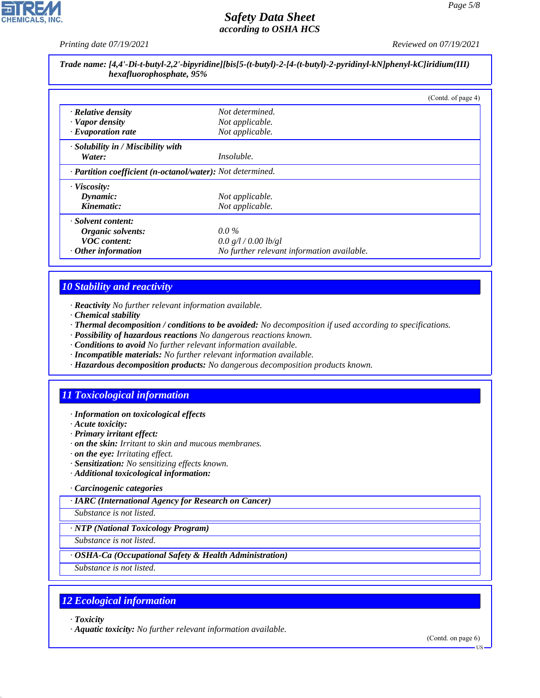*Printing date 07/19/2021 Reviewed on 07/19/2021*

*Page 5/8*

| Trade name: [4,4'-Di-t-butyl-2,2'-bipyridine][bis[5-(t-butyl)-2-[4-(t-butyl)-2-pyridinyl-kN]phenyl-kC]iridium(III) |
|--------------------------------------------------------------------------------------------------------------------|
| hexafluorophosphate, 95%                                                                                           |

|                                                            |                                            | (Contd. of page 4) |  |
|------------------------------------------------------------|--------------------------------------------|--------------------|--|
| · Relative density                                         | Not determined.                            |                    |  |
| · Vapor density                                            | Not applicable.                            |                    |  |
| $\cdot$ Evaporation rate                                   | Not applicable.                            |                    |  |
| · Solubility in / Miscibility with                         |                                            |                    |  |
| Water:                                                     | <i>Insoluble.</i>                          |                    |  |
| · Partition coefficient (n-octanol/water): Not determined. |                                            |                    |  |
| · Viscosity:                                               |                                            |                    |  |
| Dynamic:                                                   | Not applicable.                            |                    |  |
| Kinematic:                                                 | Not applicable.                            |                    |  |
| · Solvent content:                                         |                                            |                    |  |
| Organic solvents:                                          | $0.0\%$                                    |                    |  |
| <b>VOC</b> content:                                        | 0.0 g/l / 0.00 lb/gl                       |                    |  |
| $\cdot$ Other information                                  | No further relevant information available. |                    |  |

# *10 Stability and reactivity*

*· Reactivity No further relevant information available.*

- *· Chemical stability*
- *· Thermal decomposition / conditions to be avoided: No decomposition if used according to specifications.*
- *· Possibility of hazardous reactions No dangerous reactions known.*
- *· Conditions to avoid No further relevant information available.*
- *· Incompatible materials: No further relevant information available.*
- *· Hazardous decomposition products: No dangerous decomposition products known.*

# *11 Toxicological information*

- *· Information on toxicological effects*
- *· Acute toxicity:*
- *· Primary irritant effect:*
- *· on the skin: Irritant to skin and mucous membranes.*
- *· on the eye: Irritating effect.*
- *· Sensitization: No sensitizing effects known.*
- *· Additional toxicological information:*
- *· Carcinogenic categories*
- *· IARC (International Agency for Research on Cancer)*

*Substance is not listed.*

*· NTP (National Toxicology Program)*

*Substance is not listed.*

*· OSHA-Ca (Occupational Safety & Health Administration)*

*Substance is not listed.*

### *12 Ecological information*

*· Toxicity*

44.1.1

*· Aquatic toxicity: No further relevant information available.*

(Contd. on page 6)

US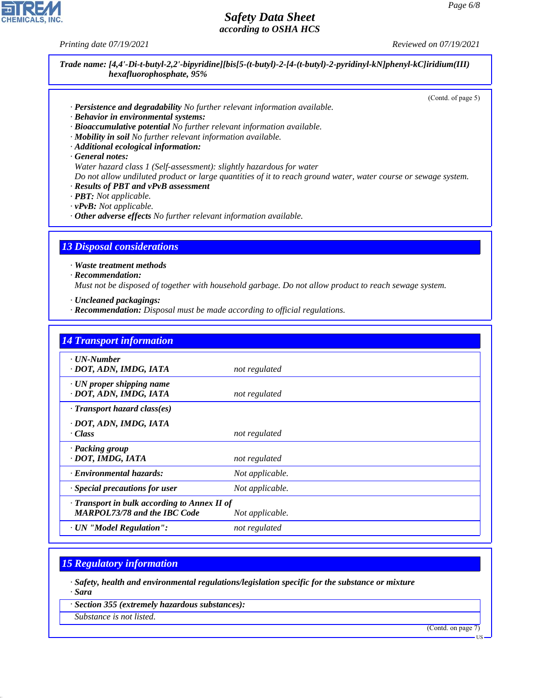*Printing date 07/19/2021 Reviewed on 07/19/2021*

*Trade name: [4,4'-Di-t-butyl-2,2'-bipyridine][bis[5-(t-butyl)-2-[4-(t-butyl)-2-pyridinyl-kN]phenyl-kC]iridium(III) hexafluorophosphate, 95%*

(Contd. of page 5)

- *· Persistence and degradability No further relevant information available.*
- *· Behavior in environmental systems:*
- *· Bioaccumulative potential No further relevant information available.*
- *· Mobility in soil No further relevant information available.*
- *· Additional ecological information:*
- *· General notes:*
- *Water hazard class 1 (Self-assessment): slightly hazardous for water*
- *Do not allow undiluted product or large quantities of it to reach ground water, water course or sewage system.*
- *· Results of PBT and vPvB assessment*
- *· PBT: Not applicable.*
- *· vPvB: Not applicable.*
- *· Other adverse effects No further relevant information available.*

#### *13 Disposal considerations*

*· Waste treatment methods*

*· Recommendation:*

*Must not be disposed of together with household garbage. Do not allow product to reach sewage system.*

- *· Uncleaned packagings:*
- *· Recommendation: Disposal must be made according to official regulations.*

| <b>14 Transport information</b>                                                     |                 |
|-------------------------------------------------------------------------------------|-----------------|
| · UN-Number<br>· DOT, ADN, IMDG, IATA                                               | not regulated   |
| $\cdot$ UN proper shipping name<br>· DOT, ADN, IMDG, IATA                           | not regulated   |
| · Transport hazard class(es)                                                        |                 |
| · DOT, ADN, IMDG, IATA<br>· Class                                                   | not regulated   |
| · Packing group<br>· DOT, IMDG, IATA                                                | not regulated   |
| · Environmental hazards:                                                            | Not applicable. |
| · Special precautions for user                                                      | Not applicable. |
| · Transport in bulk according to Annex II of<br><b>MARPOL73/78 and the IBC Code</b> | Not applicable. |
| · UN "Model Regulation":                                                            | not regulated   |

### *15 Regulatory information*

*· Safety, health and environmental regulations/legislation specific for the substance or mixture · Sara*

*· Section 355 (extremely hazardous substances):*

*Substance is not listed.*

44.1.1

(Contd. on page 7)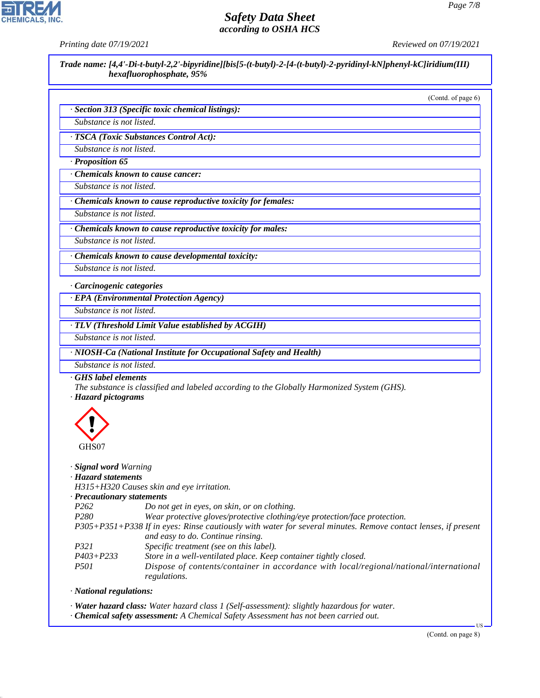# **CHEMICALS**

# *Safety Data Sheet according to OSHA HCS*

*Printing date 07/19/2021 Reviewed on 07/19/2021*

*Trade name: [4,4'-Di-t-butyl-2,2'-bipyridine][bis[5-(t-butyl)-2-[4-(t-butyl)-2-pyridinyl-kN]phenyl-kC]iridium(III) hexafluorophosphate, 95%*

(Contd. of page 6)

| · Section 313 (Specific toxic chemical listings): |  |  |  |  |
|---------------------------------------------------|--|--|--|--|
|---------------------------------------------------|--|--|--|--|

*Substance is not listed.*

*· TSCA (Toxic Substances Control Act):*

*Substance is not listed.*

*· Proposition 65*

*· Chemicals known to cause cancer:*

*Substance is not listed.*

*· Chemicals known to cause reproductive toxicity for females:*

*Substance is not listed.*

*· Chemicals known to cause reproductive toxicity for males:*

*Substance is not listed.*

*· Chemicals known to cause developmental toxicity:*

*Substance is not listed.*

*· Carcinogenic categories*

*· EPA (Environmental Protection Agency)*

*Substance is not listed.*

*· TLV (Threshold Limit Value established by ACGIH)*

*Substance is not listed.*

*· NIOSH-Ca (National Institute for Occupational Safety and Health)*

*Substance is not listed.*

*· GHS label elements*

*The substance is classified and labeled according to the Globally Harmonized System (GHS). · Hazard pictograms*



*· Signal word Warning*

#### *· Hazard statements*

*H315+H320 Causes skin and eye irritation.*

*· Precautionary statements*

*P262 Do not get in eyes, on skin, or on clothing.*

*P280 Wear protective gloves/protective clothing/eye protection/face protection.*

- *P305+P351+P338 If in eyes: Rinse cautiously with water for several minutes. Remove contact lenses, if present and easy to do. Continue rinsing.*
- *P321 Specific treatment (see on this label).*
- *P403+P233 Store in a well-ventilated place. Keep container tightly closed.*

*P501 Dispose of contents/container in accordance with local/regional/national/international regulations.*

*· National regulations:*

44.1.1

*· Water hazard class: Water hazard class 1 (Self-assessment): slightly hazardous for water.*

*· Chemical safety assessment: A Chemical Safety Assessment has not been carried out.*

(Contd. on page 8)